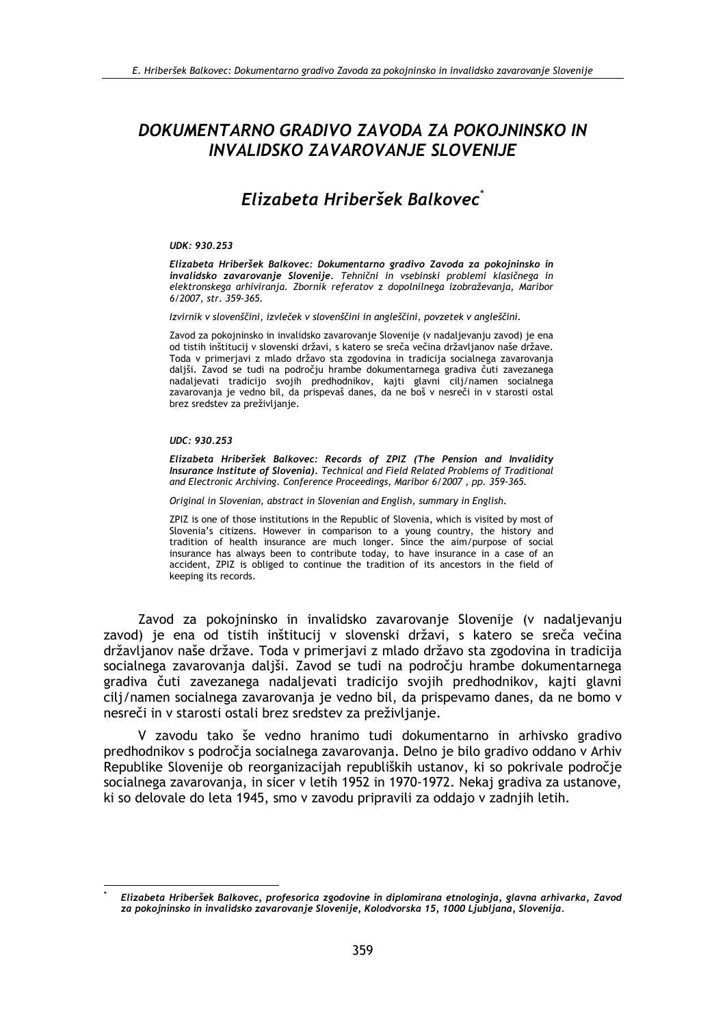## DOKUMENTARNO GRADIVO ZAVODA ZA POKOJNINSKO IN **INVALIDSKO ZAVAROVANJE SLOVENIJE**

# Elizabeta Hriberšek Balkovec<sup>\*</sup>

#### UDK: 930.253

Elizabeta Hriberšek Balkovec: Dokumentarno gradivo Zavoda za pokojninsko in invalidsko zavarovanje Slovenije. Tehnični in vsebinski problemi klasičnega in elektronskega arhiviranja. Zbornik referatov z dopolnilnega izobraževanja, Maribor  $6/2007$ , str. 359-365.

Izvirnik v slovenščini, izvleček v slovenščini in angleščini, povzetek v angleščini.

Zavod za pokojninsko in invalidsko zavarovanje Slovenije (v nadaljevanju zavod) je ena od tistih inštitucij v slovenski državi, s katero se sreča večina državljanov naše države. Toda v primerjavi z mlado državo sta zgodovina in tradicija socialnega zavarovanja daljši. Zavod se tudi na področju hrambe dokumentarnega gradiva čuti zavezanega nadaljevati tradicijo svojih predhodnikov, kajti glavni cilj/namen socialnega zavarovanja je vedno bil, da prispevaš danes, da ne boš v nesreči in v starosti ostal brez sredstev za preživljanje.

#### UDC: 930.253

Elizabeta Hriberšek Balkovec: Records of ZPIZ (The Pension and Invalidity Insurance Institute of Slovenia). Technical and Field Related Problems of Traditional and Electronic Archiving. Conference Proceedings, Maribor 6/2007, pp. 359-365.

Original in Slovenian, abstract in Slovenian and English, summary in English.

ZPIZ is one of those institutions in the Republic of Slovenia, which is visited by most of Slovenia's citizens. However in comparison to a young country, the history and tradition of health insurance are much longer. Since the aim/purpose of social insurance has always been to contribute today, to have insurance in a case of an accident, ZPIZ is obliged to continue the tradition of its ancestors in the field of keeping its records.

Zavod za pokojninsko in invalidsko zavarovanje Slovenije (v nadaljevanju zavod) je ena od tistih inštitucij v slovenski državi, s katero se sreča večina državljanov naše države. Toda v primerjavi z mlado državo sta zgodovina in tradicija socialnega zavarovania dališi. Zavod se tudi na področiu hrambe dokumentarnega gradiva čuti zavezanega nadaljevati tradicijo svojih predhodnikov, kajti glavni cilj/namen socialnega zavarovanja je vedno bil, da prispevamo danes, da ne bomo v nesreči in v starosti ostali brez sredstev za preživljanje.

V zavodu tako še vedno hranimo tudi dokumentarno in arhivsko gradivo predhodnikov s področja socialnega zavarovanja. Delno je bilo gradivo oddano v Arhiv Republike Slovenije ob reorganizacijah republiških ustanov, ki so pokrivale področje socialnega zavarovanja, in sicer v letih 1952 in 1970-1972. Nekaj gradiva za ustanove, ki so delovale do leta 1945, smo v zavodu pripravili za oddajo v zadnjih letih.

Elizabeta Hriberšek Balkovec, profesorica zgodovine in diplomirana etnologinja, glavna arhivarka, Zavod za pokojninsko in invalidsko zavarovanje Slovenije, Kolodvorska 15, 1000 Ljubljana, Slovenija.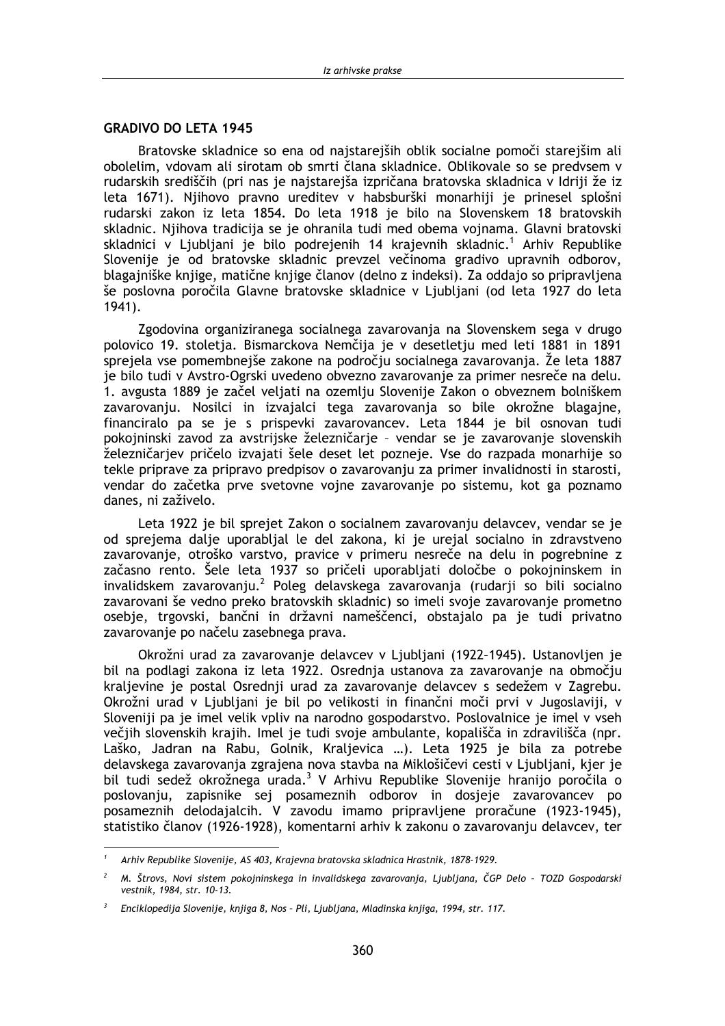#### **GRADIVO DO LETA 1945**

Bratovske skladnice so ena od najstarejših oblik socialne pomoči starejšim ali obolelim, vdovam ali sirotam ob smrti člana skladnice. Oblikovale so se predvsem v rudarskih središčih (pri nas je najstarejša izpričana bratovska skladnica v Idriji že iz leta 1671). Nijhovo pravno ureditev v habsburški monarhiji je prinesel splošni rudarski zakon iz leta 1854. Do leta 1918 je bilo na Slovenskem 18 bratovskih skladnic. Njihova tradicija se je ohranila tudi med obema vojnama. Glavni bratovski skladnici v Ljubljani je bilo podrejenih 14 krajevnih skladnic.<sup>1</sup> Arhiv Republike Slovenije je od bratovske skladnic prevzel večinoma gradivo upravnih odborov, blagajniške knjige, matične knjige članov (delno z indeksi). Za oddajo so pripravljena še poslovna poročila Glavne bratovske skladnice v Ljubljani (od leta 1927 do leta  $1941$ .

Zgodovina organiziranega socialnega zavarovanja na Slovenskem sega v drugo polovico 19. stoletja. Bismarckova Nemčija je v desetletju med leti 1881 in 1891 sprejela vse pomembnejše zakone na področju socialnega zavarovanja. Že leta 1887 je bilo tudi v Avstro-Ogrski uvedeno obvezno zavarovanje za primer nesreče na delu. 1. avgusta 1889 je začel veljati na ozemlju Slovenije Zakon o obveznem bolniškem zavarovanju. Nosilci in izvajalci tega zavarovanja so bile okrožne blagajne, financiralo pa se je s prispevki zavarovancev. Leta 1844 je bil osnovan tudi pokojninski zavod za avstrijske železničarje - vendar se je zavarovanje slovenskih železničarjev pričelo izvajati šele deset let pozneje. Vse do razpada monarhije so tekle priprave za pripravo predpisov o zavarovanju za primer invalidnosti in starosti, vendar do začetka prve svetovne vojne zavarovanje po sistemu, kot ga poznamo danes, ni zaživelo.

Leta 1922 je bil sprejet Zakon o socialnem zavarovanju delavcev, vendar se je od sprejema dalje uporabljal le del zakona, ki je urejal socialno in zdravstveno zavarovanje, otroško varstvo, pravice v primeru nesreče na delu in pogrebnine z začasno rento. Šele leta 1937 so pričeli uporabliati določbe o pokojninskem in invalidskem zavarovanju.<sup>2</sup> Poleg delavskega zavarovanja (rudarji so bili socialno zavarovani še vedno preko bratovskih skladnic) so imeli svoje zavarovanje prometno osebje, trgovski, bančni in državni nameščenci, obstajalo pa je tudi privatno zavarovanje po načelu zasebnega prava.

Okrožni urad za zavarovanje delavcev v Ljubljani (1922-1945). Ustanovljen je bil na podlagi zakona iz leta 1922. Osrednja ustanova za zavarovanje na območju kraljevine je postal Osrednji urad za zavarovanje delavcev s sedežem v Zagrebu. Okrožni urad v Ljubljani je bil po velikosti in finančni moči prvi v Jugoslaviji, v Sloveniji pa je imel velik vpliv na narodno gospodarstvo. Poslovalnice je imel v vseh večjih slovenskih krajih. Imel je tudi svoje ambulante, kopališča in zdravilišča (npr. Laško, Jadran na Rabu, Golnik, Kraljevica ...). Leta 1925 je bila za potrebe delavskega zavarovanja zgrajena nova stavba na Miklošičevi cesti v Ljubljani, kjer je bil tudi sedež okrožnega urada.<sup>3</sup> V Arhivu Republike Slovenije hranijo poročila o poslovanju, zapisnike sej posameznih odborov in dosjeje zavarovancev po posameznih delodajalcih. V zavodu imamo pripravljene proračune (1923-1945), statistiko članov (1926-1928), komentarni arhiv k zakonu o zavarovanju delavcev, ter

Arhiv Republike Slovenije, AS 403, Krajevna bratovska skladnica Hrastnik, 1878-1929.

M. Štrovs, Novi sistem pokojninskega in invalidskega zavarovanja, Ljubljana, ČGP Delo - TOZD Gospodarski vestnik, 1984, str. 10-13.

Enciklopedija Slovenije, knjiga 8, Nos - Pli, Ljubljana, Mladinska knjiga, 1994, str. 117.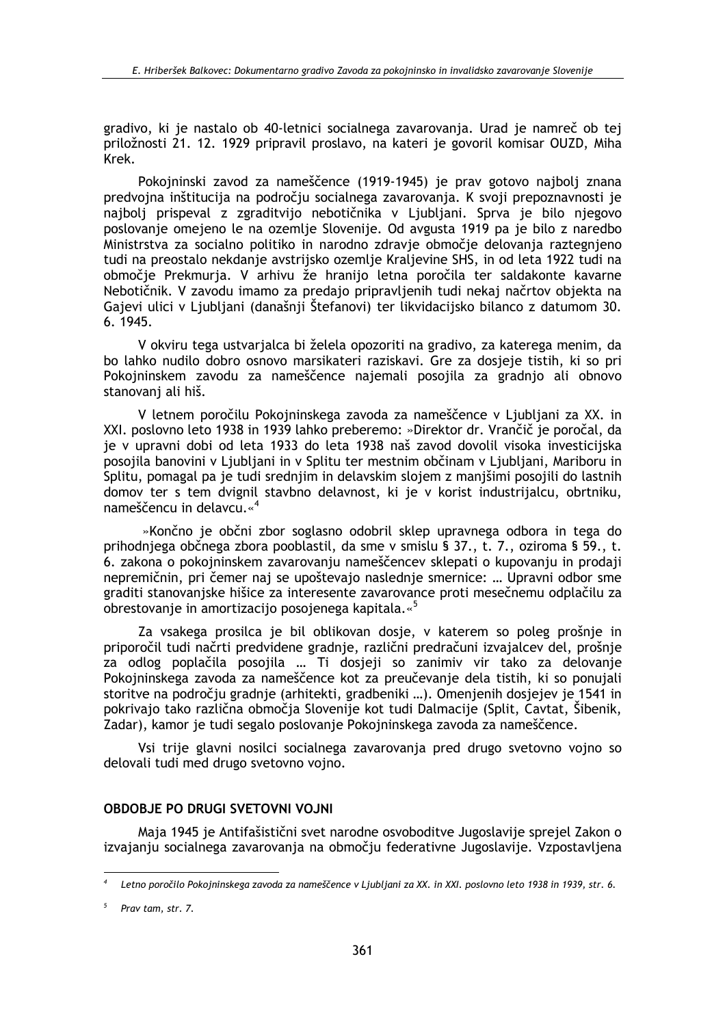gradivo, ki je nastalo ob 40-letnici socialnega zavarovania. Urad je namreč ob tej priložnosti 21. 12. 1929 pripravil proslavo, na kateri je govoril komisar OUZD, Miha Krek.

Pokojninski zavod za nameščence (1919-1945) je prav gotovo najbolj znana predvojna inštitucija na področju socialnega zavarovanja. K svoji prepoznavnosti je najbolj prispeval z zgraditvijo nebotičnika v Ljubljani. Sprva je bilo njegovo poslovanje omejeno le na ozemlje Slovenije. Od avgusta 1919 pa je bilo z naredbo Ministrstva za socialno politiko in narodno zdravje območje delovanja raztegnjeno tudi na preostalo nekdanje avstrijsko ozemlje Kraljevine SHS, in od leta 1922 tudi na območje Prekmurja. V arhivu že hranijo letna poročila ter saldakonte kavarne Nebotičnik. V zavodu imamo za predajo pripravljenih tudi nekaj načrtov objekta na Gajevi ulici v Ljubljani (današnji Štefanovi) ter likvidacijsko bilanco z datumom 30. 6. 1945.

V okviru tega ustvarjalca bi želela opozoriti na gradivo, za katerega menim, da bo lahko nudilo dobro osnovo marsikateri raziskavi. Gre za dosjeje tistih, ki so pri Pokojninskem zavodu za nameščence najemali posojila za gradnjo ali obnovo stanovanj ali hiš.

V letnem poročilu Pokojninskega zavoda za nameščence v Ljubljani za XX. in XXI. poslovno leto 1938 in 1939 lahko preberemo: »Direktor dr. Vrančič je poročal, da je v upravni dobi od leta 1933 do leta 1938 naš zavod dovolil visoka investicijska posojila banovini v Ljubljani in v Splitu ter mestnim občinam v Ljubljani. Mariboru in Splitu, pomagal pa je tudi srednjim in delavskim slojem z manjšimi posojili do lastnih domov ter s tem dvignil stavbno delavnost, ki je v korist industrijalcu, obrtniku, nameščencu in delavcu.«<sup>4</sup>

»Končno je občni zbor soglasno odobril sklep upravnega odbora in tega do prihodnjega občnega zbora pooblastil, da sme v smislu § 37., t. 7., oziroma § 59., t. 6. zakona o pokojninskem zavarovanju nameščencev sklepati o kupovanju in prodaji nepremičnin, pri čemer naj se upoštevajo naslednie smernice: ... Upravni odbor sme graditi stanovanjske hišice za interesente zavarovance proti mesečnemu odplačilu za obrestovanie in amortizacijo posojenega kapitala.«<sup>5</sup>

Za vsakega prosilca je bil oblikovan dosje, v katerem so poleg prošnje in priporočil tudi načrti predvidene gradnie, različni predračuni izvajalcev del, prošnje za odlog poplačila posojila ... Ti dosjeji so zanimiv vir tako za delovanje Pokojninskega zavoda za nameščence kot za preučevanje dela tistih, ki so ponujali storitve na področju gradnje (arhitekti, gradbeniki ...). Omenjenih dosjejev je 1541 in pokrivajo tako različna območja Slovenije kot tudi Dalmacije (Split, Cavtat, Šibenik, Zadar), kamor je tudi segalo poslovanje Pokojninskega zavoda za nameščence.

Vsi trije glavni nosilci socialnega zavarovanja pred drugo svetovno vojno so delovali tudi med drugo svetovno vojno.

#### **OBDOBJE PO DRUGI SVETOVNI VOJNI**

Maja 1945 je Antifašistični svet narodne osvoboditve Jugoslavije sprejel Zakon o izvajanju socialnega zavarovanja na območju federativne Jugoslavije. Vzpostavljena

Letno poročilo Pokojninskega zavoda za nameščence v Ljubljani za XX. in XXI. poslovno leto 1938 in 1939, str. 6.

Prav tam, str. 7.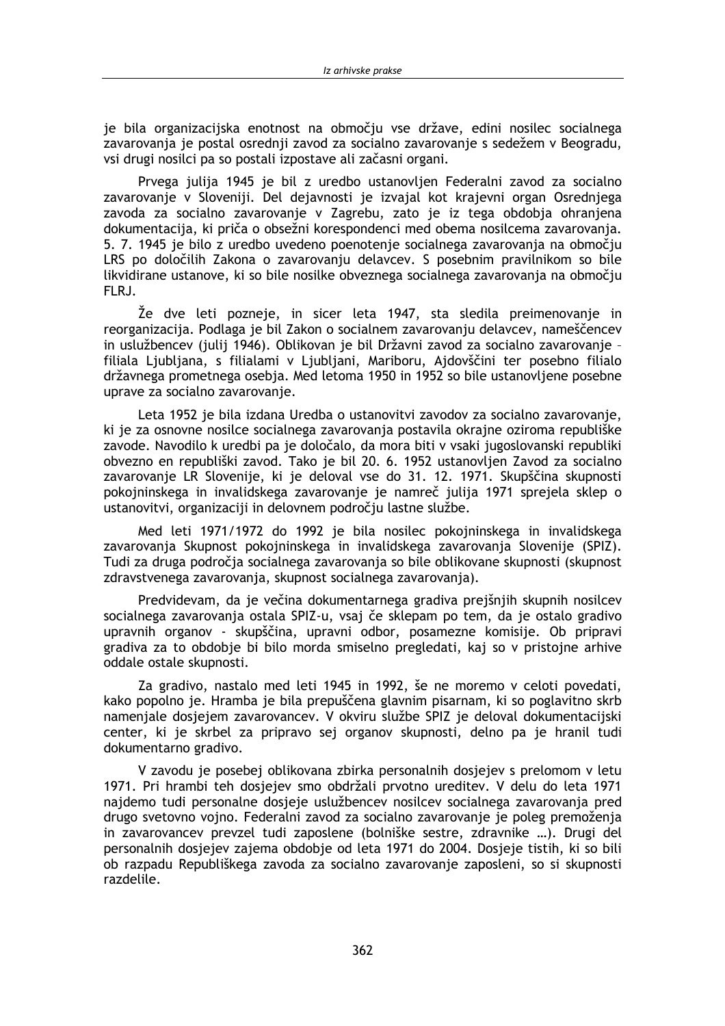je bila organizacijska enotnost na območju vse države, edini nosilec socialnega zavarovania je postal osrednij zavod za socialno zavarovanje s sedežem v Beogradu, vsi drugi nosilci pa so postali izpostave ali začasni organi.

Prvega julija 1945 je bil z uredbo ustanovljen Federalni zavod za socialno zavarovanje v Sloveniji. Del dejavnosti je izvajal kot krajevni organ Osrednjega zavoda za socialno zavarovanje v Zagrebu, zato je iz tega obdobja ohranjena dokumentacija, ki priča o obsežni korespondenci med obema nosilcema zavarovanja. 5.7. 1945 je bilo z uredbo uvedeno poenotenje socialnega zavarovanja na območju LRS po določilih Zakona o zavarovanju delavcev. S posebnim pravilnikom so bile likvidirane ustanove, ki so bile nosilke obveznega socialnega zavarovanja na območju FLRJ.

Že dve leti pozneje, in sicer leta 1947, sta sledila preimenovanje in reorganizacija. Podlaga je bil Zakon o socialnem zavarovanju delavcev, nameščencev in uslužbencev (julij 1946). Oblikovan je bil Državni zavod za socialno zavarovanje filiala Ljubljana, s filialami v Ljubljani, Mariboru, Ajdovščini ter posebno filialo državnega prometnega osebja. Med letoma 1950 in 1952 so bile ustanovljene posebne uprave za socialno zavarovanje.

Leta 1952 je bila izdana Uredba o ustanovitvi zavodov za socialno zavarovanje, ki je za osnovne nosilce socialnega zavarovanja postavila okrajne oziroma republiške zavode. Navodilo k uredbi pa je določalo, da mora biti v vsaki jugoslovanski republiki obvezno en republiški zavod. Tako je bil 20. 6. 1952 ustanovljen Zavod za socialno zavarovanje LR Slovenije, ki je deloval vse do 31. 12. 1971. Skupščina skupnosti pokojninskega in invalidskega zavarovanje je namreč julija 1971 sprejela sklep o ustanovitvi, organizaciji in delovnem področju lastne službe.

Med leti 1971/1972 do 1992 je bila nosilec pokojninskega in invalidskega zavarovanja Skupnost pokojninskega in invalidskega zavarovanja Slovenije (SPIZ). Tudi za druga področja socialnega zavarovanja so bile oblikovane skupnosti (skupnost zdravstvenega zavarovanja, skupnost socialnega zavarovanja).

Predvidevam, da je večina dokumentarnega gradiva prejšnjih skupnih nosilcev socialnega zavarovanja ostala SPIZ-u, vsaj če sklepam po tem, da je ostalo gradivo upravnih organov - skupščina, upravni odbor, posamezne komisije. Ob pripravi gradiva za to obdobie bi bilo morda smiselno pregledati, kai so y pristojne arhive oddale ostale skupnosti.

Za gradivo, nastalo med leti 1945 in 1992, še ne moremo v celoti povedati, kako popolno je. Hramba je bila prepuščena glavnim pisarnam, ki so poglavitno skrb namenjale dosjejem zavarovancev. V okviru službe SPIZ je deloval dokumentacijski center, ki je skrbel za pripravo sej organov skupnosti, delno pa je hranil tudi dokumentarno gradivo.

V zavodu je posebej oblikovana zbirka personalnih dosjejev s prelomom v letu 1971. Pri hrambi teh dosjejev smo obdržali prvotno ureditev. V delu do leta 1971 najdemo tudi personalne dosjeje uslužbencev nosilcev socialnega zavarovanja pred drugo svetovno vojno. Federalni zavod za socialno zavarovanje je poleg premoženja in zavarovancev prevzel tudi zaposlene (bolniške sestre, zdravnike ...). Drugi del personalnih dosjejev zajema obdobje od leta 1971 do 2004. Dosjeje tistih, ki so bili ob razpadu Republiškega zavoda za socialno zavarovanje zaposleni, so si skupnosti razdelile.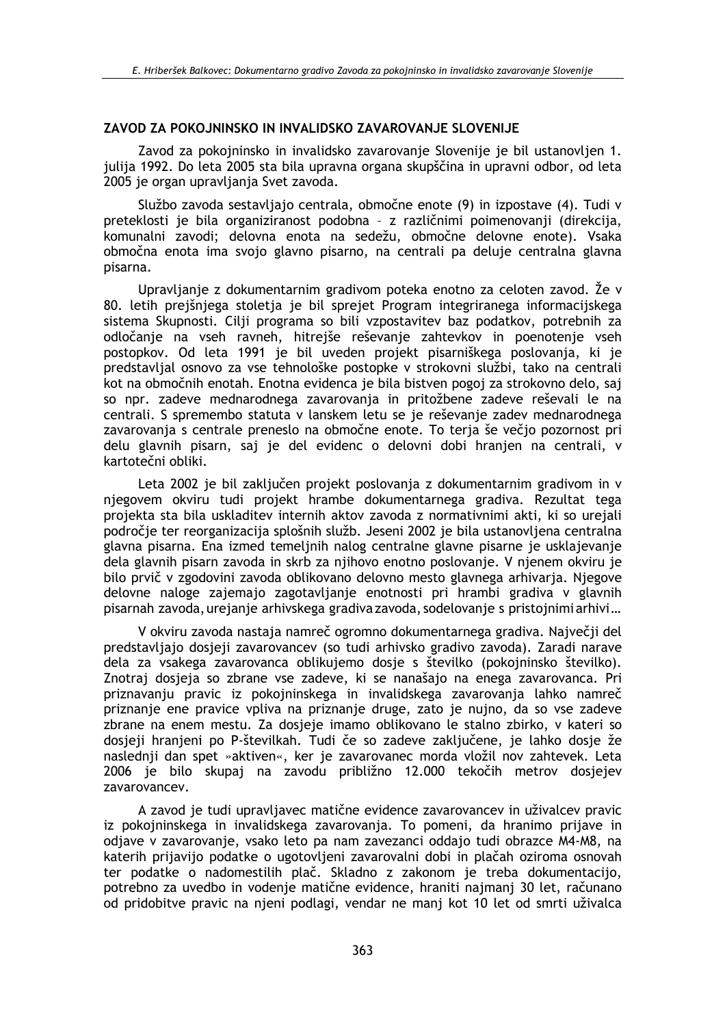## ZAVOD ZA POKOJNINSKO IN INVALIDSKO ZAVAROVANJE SLOVENIJE

Zavod za pokojninsko in invalidsko zavarovanje Slovenije je bil ustanovljen 1. julija 1992. Do leta 2005 sta bila upravna organa skupščina in upravni odbor, od leta 2005 je organ upravljanja Svet zavoda.

Službo zavoda sestavljajo centrala, območne enote (9) in izpostave (4). Tudi v preteklosti je bila organiziranost podobna - z različnimi poimenovanji (direkcija, komunalni zavodi; delovna enota na sedežu, območne delovne enote). Vsaka območna enota ima svojo glavno pisarno, na centrali pa deluje centralna glavna pisarna.

Upravljanje z dokumentarnim gradivom poteka enotno za celoten zavod. Že v 80. letih prejšnjega stoletja je bil sprejet Program integriranega informacijskega sistema Skupnosti. Cilji programa so bili vzpostavitev baz podatkov, potrebnih za odločanje na vseh ravneh, hitrejše reševanje zahtevkov in poenotenje vseh postopkov. Od leta 1991 je bil uveden projekt pisarniškega poslovanja, ki je predstavljal osnovo za vse tehnološke postopke v strokovni službi, tako na centrali kot na območnih enotah. Enotna evidenca je bila bistven pogoj za strokovno delo, saj so npr. zadeve mednarodnega zavarovanja in pritožbene zadeve reševali le na centrali. S spremembo statuta y lanskem letu se je reševanje zadev mednarodnega zavarovanja s centrale preneslo na območne enote. To terja še večjo pozornost pri delu glavnih pisarn, saj je del evidenc o delovni dobi hranjen na centrali, v kartotečni obliki.

Leta 2002 je bil zaključen projekt poslovanja z dokumentarnim gradivom in v njegovem okviru tudi projekt hrambe dokumentarnega gradiva. Rezultat tega projekta sta bila uskladitev internih aktov zavoda z normativnimi akti, ki so urejali področie ter reorganizacija splošnih služb. Jeseni 2002 je bila ustanovljena centralna glavna pisarna. Ena izmed temeljnih nalog centralne glavne pisarne je usklajevanje dela glavnih pisarn zavoda in skrb za njihovo enotno poslovanje. V njenem okviru je bilo prvič v zgodovini zavoda oblikovano delovno mesto glavnega arhivaria. Niegove delovne naloge zajemajo zagotavljanje enotnosti pri hrambi gradiva v glavnih pisarnah zavoda, urejanje arhivskega gradiva zavoda, sodelovanje s pristojnimi arhivi...

V okviru zavoda nastaja namreč ogromno dokumentarnega gradiva. Največji del predstavljajo dosjeji zavarovancev (so tudi arhivsko gradivo zavoda). Zaradi narave dela za vsakega zavarovanca oblikujemo dosie s številko (pokojninsko številko). Znotraj dosjeja so zbrane vse zadeve, ki se nanašajo na enega zavarovanca. Pri priznavanju pravic iz pokojninskega in invalidskega zavarovanja lahko namreč priznanje ene pravice vpliva na priznanje druge, zato je nujno, da so vse zadeve zbrane na enem mestu. Za dosjeje imamo oblikovano le stalno zbirko, v kateri so dosjeji hranjeni po P-številkah. Tudi če so zadeve zaključene, je lahko dosje že naslednji dan spet »aktiven«, ker je zavarovanec morda vložil nov zahtevek. Leta 2006 je bilo skupaj na zavodu približno 12.000 tekočih metrov dosjejev zavarovancev.

A zavod je tudi upravljavec matične evidence zavarovancev in uživalcev pravic iz pokojninskega in invalidskega zavarovanja. To pomeni, da hranimo prijave in odiave v zavarovanje, vsako leto pa nam zavezanci oddajo tudi obrazce M4-M8, na katerih prijavijo podatke o ugotovljeni zavarovalni dobi in plačah oziroma osnovah ter podatke o nadomestilih plač. Skladno z zakonom je treba dokumentacijo, potrebno za uvedbo in vodenje matične evidence, hraniti najmanj 30 let, računano od pridobitve pravic na njeni podlagi, vendar ne manj kot 10 let od smrti uživalca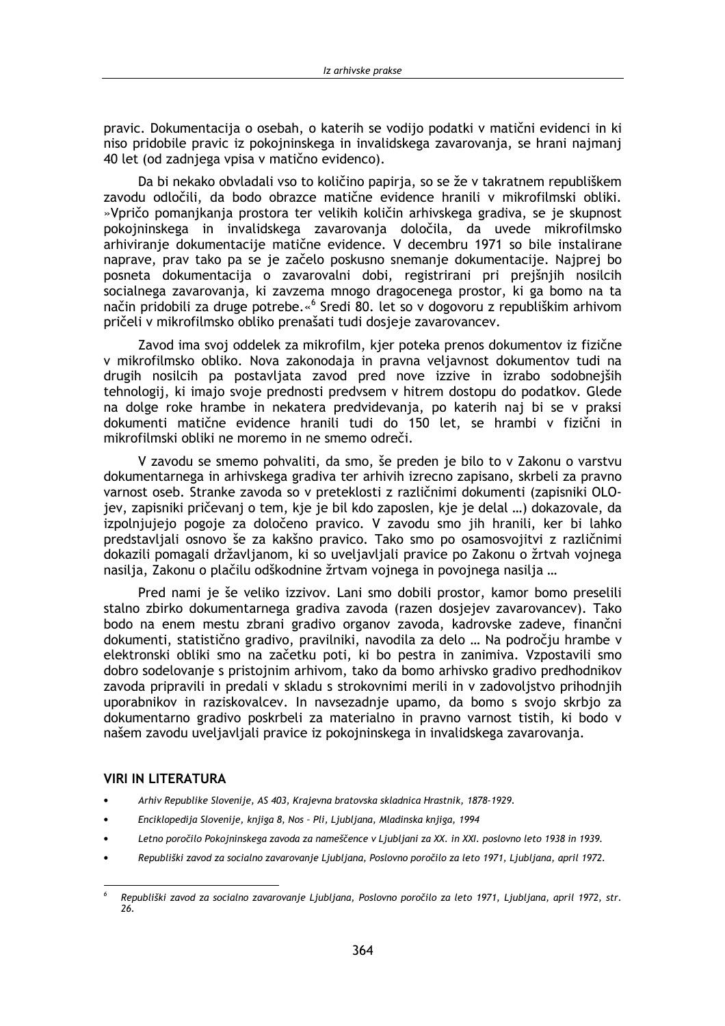pravic. Dokumentacija o osebah, o katerih se vodijo podatki v matični evidenci in ki niso pridobile pravic iz pokojninskega in invalidskega zavarovania, se hrani najmani 40 let (od zadniega vpisa v matično evidenco).

Da bi nekako obvladali vso to količino papiria, so se že v takratnem republiškem zavodu odločili, da bodo obrazce matične evidence hranili v mikrofilmski obliki. »Vpričo pomanjkanja prostora ter velikih količin arhivskega gradiva, se je skupnost pokojninskega in invalidskega zavarovanja določila, da uvede mikrofilmsko arhiviranje dokumentacije matične evidence. V decembru 1971 so bile instalirane naprave, prav tako pa se je začelo poskusno snemanje dokumentacije. Najprej bo posneta dokumentacija o zavarovalni dobi, registrirani pri prejšnjih nosilcih socialnega zavarovanja, ki zavzema mnogo dragocenega prostor, ki ga bomo na ta način pridobili za druge potrebe.«<sup>6</sup> Sredi 80. let so v dogovoru z republiškim arhivom pričeli v mikrofilmsko obliko prenašati tudi dosjeje zavarovancev.

Zavod ima svoj oddelek za mikrofilm, kjer poteka prenos dokumentov iz fizične v mikrofilmsko obliko. Nova zakonodaja in pravna veljavnost dokumentov tudi na drugih nosilcih pa postavljata zavod pred nove izzive in izrabo sodobnejših tehnologij, ki imajo svoje prednosti predvsem v hitrem dostopu do podatkov. Glede na dolge roke hrambe in nekatera predvidevanja, po katerih naj bi se v praksi dokumenti matične evidence hranili tudi do 150 let, se hrambi v fizični in mikrofilmski obliki ne moremo in ne smemo odreči.

V zavodu se smemo pohvaliti, da smo, še preden je bilo to v Zakonu o varstvu dokumentarnega in arhivskega gradiva ter arhivih izrecno zapisano, skrbeli za pravno varnost oseb. Stranke zavoda so v preteklosti z različnimi dokumenti (zapisniki OLOjev, zapisniki pričevanj o tem, kje je bil kdo zaposlen, kje je delal ...) dokazovale, da izpolnjujejo pogoje za določeno pravico. V zavodu smo jih hranili, ker bi lahko predstavljali osnovo še za kakšno pravico. Tako smo po osamosvojitvi z različnimi dokazili pomagali državljanom, ki so uveljavljali pravice po Zakonu o žrtvah vojnega nasilia. Zakonu o plačilu odškodnine žrtvam voinega in povoinega nasilia ...

Pred nami je še veliko izzivov. Lani smo dobili prostor, kamor bomo preselili stalno zbirko dokumentarnega gradiva zavoda (razen dosjejev zavarovancev). Tako bodo na enem mestu zbrani gradivo organov zavoda, kadrovske zadeve, finančni dokumenti, statistično gradivo, pravilniki, navodila za delo ... Na področju hrambe v elektronski obliki smo na začetku poti, ki bo pestra in zanimiva. Vzpostavili smo dobro sodelovanje s pristojnim arhivom, tako da bomo arhivsko gradivo predhodnikov zavoda pripravili in predali v skladu s strokovnimi merili in v zadovoljstvo prihodnjih uporabnikov in raziskovalcev. In navsezadnje upamo, da bomo s svojo skrbjo za dokumentarno gradivo poskrbeli za materialno in pravno varnost tistih, ki bodo v našem zavodu uveljavljali pravice iz pokojninskega in invalidskega zavarovanja.

#### **VIRI IN LITERATURA**

- Arhiv Republike Slovenije, AS 403, Krajevna bratovska skladnica Hrastnik, 1878-1929.
- Enciklopedija Slovenije, knjiga 8, Nos Pli, Ljubljana, Mladinska knjiga, 1994
- Letno poročilo Pokojninskega zavoda za nameščence v Ljubljani za XX. in XXI. poslovno leto 1938 in 1939.
- Republiški zavod za socialno zavarovanje Ljubljana, Poslovno poročilo za leto 1971, Ljubljana, april 1972.

 $\overline{6}$ Republiški zavod za socialno zavarovanje Ljubljana, Poslovno poročilo za leto 1971, Ljubljana, april 1972, str. 26.